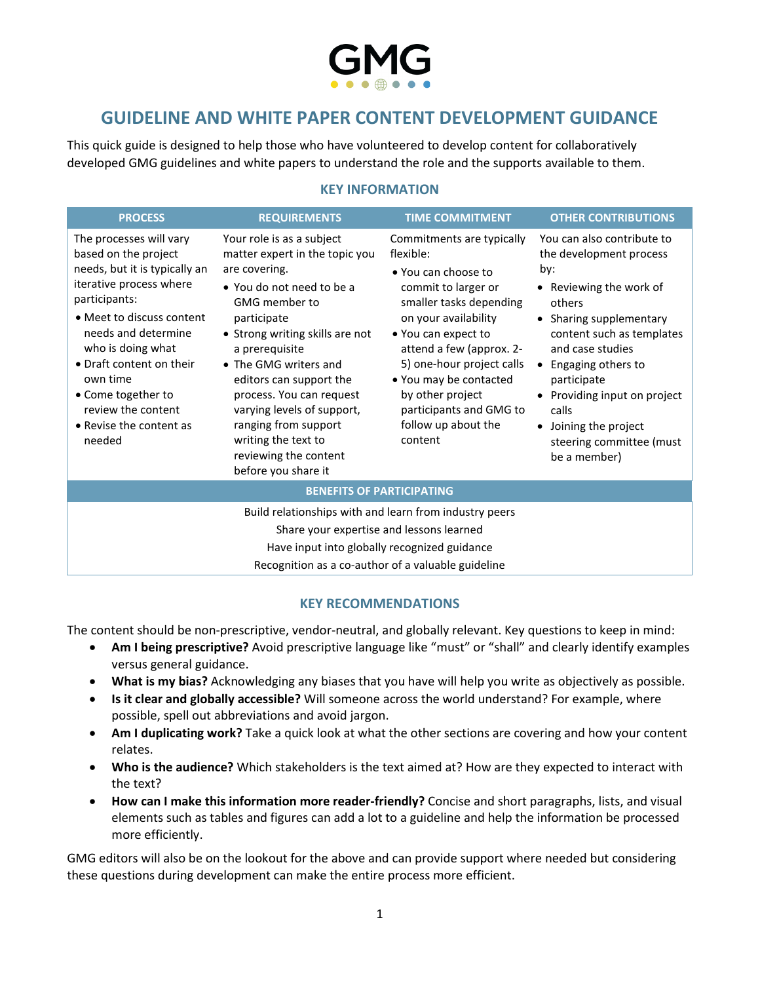# **GUIDELINE AND WHITE PAPER CONTENT DEVELOPMENT GUIDANCE**

This quick guide is designed to help those who have volunteered to develop content for collaboratively developed GMG guidelines and white papers to understand the role and the supports available to them.

#### **KEY INFORMATION**

| <b>PROCESS</b>                                                                                                                                                                                                                                                                                                                 | <b>REQUIREMENTS</b>                                                                                                                                                                                                                                                                                                                                                                                                | <b>TIME COMMITMENT</b>                                                                                                                                                                                                                                                                                                             | <b>OTHER CONTRIBUTIONS</b>                                                                                                                                                                                                                                                                                                                |
|--------------------------------------------------------------------------------------------------------------------------------------------------------------------------------------------------------------------------------------------------------------------------------------------------------------------------------|--------------------------------------------------------------------------------------------------------------------------------------------------------------------------------------------------------------------------------------------------------------------------------------------------------------------------------------------------------------------------------------------------------------------|------------------------------------------------------------------------------------------------------------------------------------------------------------------------------------------------------------------------------------------------------------------------------------------------------------------------------------|-------------------------------------------------------------------------------------------------------------------------------------------------------------------------------------------------------------------------------------------------------------------------------------------------------------------------------------------|
| The processes will vary<br>based on the project<br>needs, but it is typically an<br>iterative process where<br>participants:<br>• Meet to discuss content<br>needs and determine<br>who is doing what<br>• Draft content on their<br>own time<br>• Come together to<br>review the content<br>• Revise the content as<br>needed | Your role is as a subject<br>matter expert in the topic you<br>are covering.<br>• You do not need to be a<br><b>GMG</b> member to<br>participate<br>• Strong writing skills are not<br>a prerequisite<br>• The GMG writers and<br>editors can support the<br>process. You can request<br>varying levels of support,<br>ranging from support<br>writing the text to<br>reviewing the content<br>before you share it | Commitments are typically<br>flexible:<br>• You can choose to<br>commit to larger or<br>smaller tasks depending<br>on your availability<br>• You can expect to<br>attend a few (approx. 2-<br>5) one-hour project calls<br>• You may be contacted<br>by other project<br>participants and GMG to<br>follow up about the<br>content | You can also contribute to<br>the development process<br>by:<br>• Reviewing the work of<br>others<br>• Sharing supplementary<br>content such as templates<br>and case studies<br>Engaging others to<br>$\bullet$<br>participate<br>Providing input on project<br>calls<br>Joining the project<br>steering committee (must<br>be a member) |
| <b>BENEFITS OF PARTICIPATING</b>                                                                                                                                                                                                                                                                                               |                                                                                                                                                                                                                                                                                                                                                                                                                    |                                                                                                                                                                                                                                                                                                                                    |                                                                                                                                                                                                                                                                                                                                           |
| Build relationships with and learn from industry peers<br>Share your expertise and lessons learned<br>Have input into globally recognized guidance<br>Recognition as a co-author of a valuable guideline                                                                                                                       |                                                                                                                                                                                                                                                                                                                                                                                                                    |                                                                                                                                                                                                                                                                                                                                    |                                                                                                                                                                                                                                                                                                                                           |

### **KEY RECOMMENDATIONS**

The content should be non-prescriptive, vendor-neutral, and globally relevant. Key questions to keep in mind:

- **Am I being prescriptive?** Avoid prescriptive language like "must" or "shall" and clearly identify examples versus general guidance.
- **What is my bias?** Acknowledging any biases that you have will help you write as objectively as possible.
- **Is it clear and globally accessible?** Will someone across the world understand? For example, where possible, spell out abbreviations and avoid jargon.
- **Am I duplicating work?** Take a quick look at what the other sections are covering and how your content relates.
- **Who is the audience?** Which stakeholders is the text aimed at? How are they expected to interact with the text?
- **How can I make this information more reader-friendly?** Concise and short paragraphs, lists, and visual elements such as tables and figures can add a lot to a guideline and help the information be processed more efficiently.

GMG editors will also be on the lookout for the above and can provide support where needed but considering these questions during development can make the entire process more efficient.